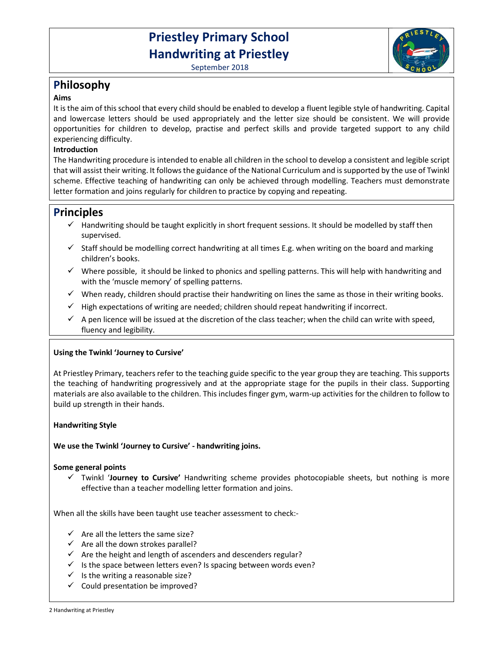# **Priestley Primary School Handwriting at Priestley**

September 2018



#### **Aims**

It is the aim of this school that every child should be enabled to develop a fluent legible style of handwriting. Capital and lowercase letters should be used appropriately and the letter size should be consistent. We will provide opportunities for children to develop, practise and perfect skills and provide targeted support to any child experiencing difficulty.

# **Introduction**

The Handwriting procedure is intended to enable all children in the school to develop a consistent and legible script that will assist their writing. It follows the guidance of the National Curriculum and is supported by the use of Twinkl scheme. Effective teaching of handwriting can only be achieved through modelling. Teachers must demonstrate letter formation and joins regularly for children to practice by copying and repeating.

# **Principles**

- $\checkmark$  Handwriting should be taught explicitly in short frequent sessions. It should be modelled by staff then supervised.
- $\checkmark$  Staff should be modelling correct handwriting at all times E.g. when writing on the board and marking children's books.
- $\checkmark$  Where possible, it should be linked to phonics and spelling patterns. This will help with handwriting and with the 'muscle memory' of spelling patterns.
- $\checkmark$  When ready, children should practise their handwriting on lines the same as those in their writing books.
- $\checkmark$  High expectations of writing are needed; children should repeat handwriting if incorrect.
- $\checkmark$  A pen licence will be issued at the discretion of the class teacher; when the child can write with speed, fluency and legibility.

# **Using the Twinkl 'Journey to Cursive'**

At Priestley Primary, teachers refer to the teaching guide specific to the year group they are teaching. This supports the teaching of handwriting progressively and at the appropriate stage for the pupils in their class. Supporting materials are also available to the children. This includes finger gym, warm-up activities for the children to follow to build up strength in their hands.

#### **Handwriting Style**

# **We use the Twinkl 'Journey to Cursive' - handwriting joins.**

#### **Some general points**

 Twinkl '**Journey to Cursive'** Handwriting scheme provides photocopiable sheets, but nothing is more effective than a teacher modelling letter formation and joins.

When all the skills have been taught use teacher assessment to check:-

- $\checkmark$  Are all the letters the same size?
- $\checkmark$  Are all the down strokes parallel?
- $\checkmark$  Are the height and length of ascenders and descenders regular?
- $\checkmark$  Is the space between letters even? Is spacing between words even?
- $\checkmark$  Is the writing a reasonable size?
- $\checkmark$  Could presentation be improved?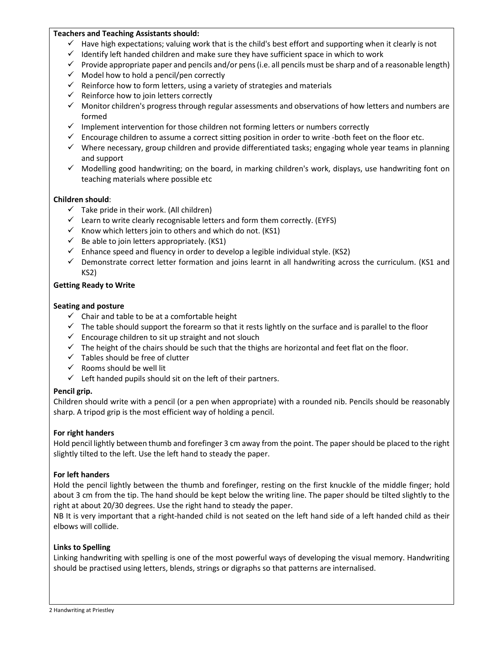#### **Teachers and Teaching Assistants should:**

- $\checkmark$  Have high expectations; valuing work that is the child's best effort and supporting when it clearly is not
- $\checkmark$  Identify left handed children and make sure they have sufficient space in which to work
- $\checkmark$  Provide appropriate paper and pencils and/or pens (i.e. all pencils must be sharp and of a reasonable length)
- $\checkmark$  Model how to hold a pencil/pen correctly
- $\checkmark$  Reinforce how to form letters, using a variety of strategies and materials
- $\checkmark$  Reinforce how to join letters correctly
- $\checkmark$  Monitor children's progress through regular assessments and observations of how letters and numbers are formed
- $\checkmark$  Implement intervention for those children not forming letters or numbers correctly
- $\checkmark$  Encourage children to assume a correct sitting position in order to write -both feet on the floor etc.
- $\checkmark$  Where necessary, group children and provide differentiated tasks; engaging whole year teams in planning and support
- $\checkmark$  Modelling good handwriting; on the board, in marking children's work, displays, use handwriting font on teaching materials where possible etc

# **Children should**:

- $\checkmark$  Take pride in their work. (All children)
- $\checkmark$  Learn to write clearly recognisable letters and form them correctly. (EYFS)
- $\checkmark$  Know which letters join to others and which do not. (KS1)
- $\checkmark$  Be able to join letters appropriately. (KS1)
- $\checkmark$  Enhance speed and fluency in order to develop a legible individual style. (KS2)
- $\checkmark$  Demonstrate correct letter formation and joins learnt in all handwriting across the curriculum. (KS1 and KS2)

#### **Getting Ready to Write**

#### **Seating and posture**

- $\checkmark$  Chair and table to be at a comfortable height
- $\checkmark$  The table should support the forearm so that it rests lightly on the surface and is parallel to the floor
- $\checkmark$  Encourage children to sit up straight and not slouch
- $\checkmark$  The height of the chairs should be such that the thighs are horizontal and feet flat on the floor.
- $\checkmark$  Tables should be free of clutter
- $\checkmark$  Rooms should be well lit
- $\checkmark$  Left handed pupils should sit on the left of their partners.

#### **Pencil grip.**

Children should write with a pencil (or a pen when appropriate) with a rounded nib. Pencils should be reasonably sharp. A tripod grip is the most efficient way of holding a pencil.

#### **For right handers**

Hold pencil lightly between thumb and forefinger 3 cm away from the point. The paper should be placed to the right slightly tilted to the left. Use the left hand to steady the paper.

#### **For left handers**

Hold the pencil lightly between the thumb and forefinger, resting on the first knuckle of the middle finger; hold about 3 cm from the tip. The hand should be kept below the writing line. The paper should be tilted slightly to the right at about 20/30 degrees. Use the right hand to steady the paper.

NB It is very important that a right-handed child is not seated on the left hand side of a left handed child as their elbows will collide.

#### **Links to Spelling**

Linking handwriting with spelling is one of the most powerful ways of developing the visual memory. Handwriting should be practised using letters, blends, strings or digraphs so that patterns are internalised.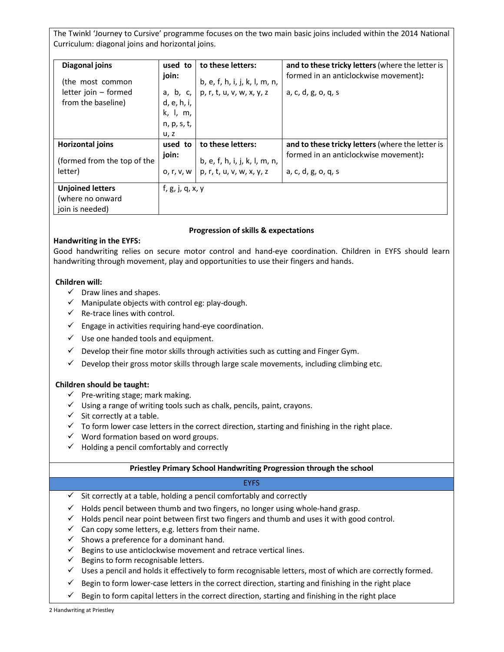The Twinkl 'Journey to Cursive' programme focuses on the two main basic joins included within the 2014 National Curriculum: diagonal joins and horizontal joins.

| Diagonal joins<br>(the most common<br>letter join - formed<br>from the baseline) | used to<br>join:<br>a, b, c, $\vert$<br>d, e, h, i,<br>k, I, m,<br>n, p, s, t,<br>u, z | to these letters:<br>b, e, f, h, i, j, k, l, m, n,<br>p, r, t, u, v, w, x, y, z | and to these tricky letters (where the letter is<br>formed in an anticlockwise movement):<br>a, c, d, g, o, q, s |
|----------------------------------------------------------------------------------|----------------------------------------------------------------------------------------|---------------------------------------------------------------------------------|------------------------------------------------------------------------------------------------------------------|
| <b>Horizontal joins</b><br>(formed from the top of the<br>letter)                | used to<br>join:<br>0, r, v, w                                                         | to these letters:<br>b, e, f, h, i, j, k, l, m, n,<br>p, r, t, u, v, w, x, y, z | and to these tricky letters (where the letter is<br>formed in an anticlockwise movement):<br>a, c, d, g, o, q, s |
| <b>Unjoined letters</b><br>(where no onward<br>join is needed)                   | f, g, j, q, x, y                                                                       |                                                                                 |                                                                                                                  |

# **Progression of skills & expectations**

# **Handwriting in the EYFS:**

Good handwriting relies on secure motor control and hand-eye coordination. Children in EYFS should learn handwriting through movement, play and opportunities to use their fingers and hands.

# **Children will:**

- $\checkmark$  Draw lines and shapes.
- $\checkmark$  Manipulate objects with control eg: play-dough.
- $\checkmark$  Re-trace lines with control.
- $\checkmark$  Engage in activities requiring hand-eye coordination.
- $\checkmark$  Use one handed tools and equipment.
- $\checkmark$  Develop their fine motor skills through activities such as cutting and Finger Gym.
- $\checkmark$  Develop their gross motor skills through large scale movements, including climbing etc.

#### **Children should be taught:**

- $\checkmark$  Pre-writing stage; mark making.
- $\checkmark$  Using a range of writing tools such as chalk, pencils, paint, crayons.
- $\checkmark$  Sit correctly at a table.
- $\checkmark$  To form lower case letters in the correct direction, starting and finishing in the right place.
- $\checkmark$  Word formation based on word groups.
- $\checkmark$  Holding a pencil comfortably and correctly

#### **Priestley Primary School Handwriting Progression through the school**

# **EYFS**

- $\checkmark$  Sit correctly at a table, holding a pencil comfortably and correctly
- $\checkmark$  Holds pencil between thumb and two fingers, no longer using whole-hand grasp.
- $\checkmark$  Holds pencil near point between first two fingers and thumb and uses it with good control.
- $\checkmark$  Can copy some letters, e.g. letters from their name.
- $\checkmark$  Shows a preference for a dominant hand.
- $\checkmark$  Begins to use anticlockwise movement and retrace vertical lines.
- $\checkmark$  Begins to form recognisable letters.
- $\checkmark$  Uses a pencil and holds it effectively to form recognisable letters, most of which are correctly formed.
- $\checkmark$  Begin to form lower-case letters in the correct direction, starting and finishing in the right place
- $\checkmark$  Begin to form capital letters in the correct direction, starting and finishing in the right place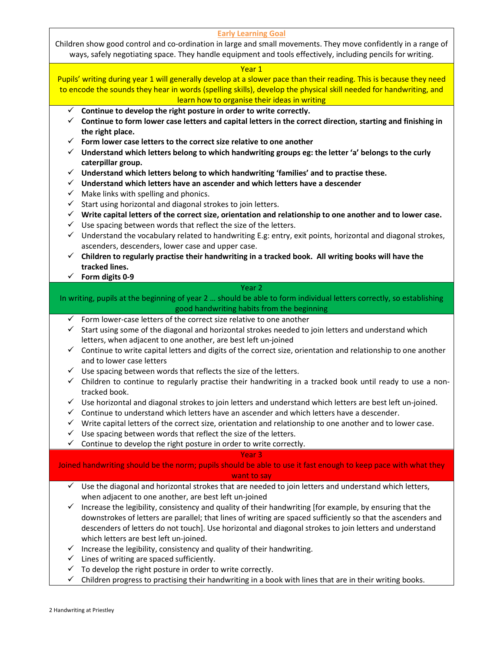|                                                                                                                  | <b>Early Learning Goal</b>                                                                                                                              |  |  |  |  |
|------------------------------------------------------------------------------------------------------------------|---------------------------------------------------------------------------------------------------------------------------------------------------------|--|--|--|--|
|                                                                                                                  | Children show good control and co-ordination in large and small movements. They move confidently in a range of                                          |  |  |  |  |
|                                                                                                                  | ways, safely negotiating space. They handle equipment and tools effectively, including pencils for writing.                                             |  |  |  |  |
|                                                                                                                  | Year 1                                                                                                                                                  |  |  |  |  |
|                                                                                                                  | Pupils' writing during year 1 will generally develop at a slower pace than their reading. This is because they need                                     |  |  |  |  |
|                                                                                                                  |                                                                                                                                                         |  |  |  |  |
|                                                                                                                  | to encode the sounds they hear in words (spelling skills), develop the physical skill needed for handwriting, and                                       |  |  |  |  |
|                                                                                                                  | learn how to organise their ideas in writing                                                                                                            |  |  |  |  |
| Continue to develop the right posture in order to write correctly.<br>✓                                          |                                                                                                                                                         |  |  |  |  |
|                                                                                                                  | Continue to form lower case letters and capital letters in the correct direction, starting and finishing in                                             |  |  |  |  |
|                                                                                                                  | the right place.                                                                                                                                        |  |  |  |  |
| Form lower case letters to the correct size relative to one another<br>✓                                         |                                                                                                                                                         |  |  |  |  |
| $\checkmark$ Understand which letters belong to which handwriting groups eg: the letter 'a' belongs to the curly |                                                                                                                                                         |  |  |  |  |
| caterpillar group.                                                                                               |                                                                                                                                                         |  |  |  |  |
| ✓                                                                                                                | Understand which letters belong to which handwriting 'families' and to practise these.                                                                  |  |  |  |  |
|                                                                                                                  | $\checkmark$ Understand which letters have an ascender and which letters have a descender                                                               |  |  |  |  |
| ✓                                                                                                                | Make links with spelling and phonics.                                                                                                                   |  |  |  |  |
| ✓                                                                                                                | Start using horizontal and diagonal strokes to join letters.                                                                                            |  |  |  |  |
| ✓                                                                                                                | Write capital letters of the correct size, orientation and relationship to one another and to lower case.                                               |  |  |  |  |
| ✓                                                                                                                | Use spacing between words that reflect the size of the letters.                                                                                         |  |  |  |  |
| ✓                                                                                                                | Understand the vocabulary related to handwriting E.g: entry, exit points, horizontal and diagonal strokes,                                              |  |  |  |  |
|                                                                                                                  | ascenders, descenders, lower case and upper case.                                                                                                       |  |  |  |  |
|                                                                                                                  | $\checkmark$ Children to regularly practise their handwriting in a tracked book. All writing books will have the                                        |  |  |  |  |
|                                                                                                                  | tracked lines.                                                                                                                                          |  |  |  |  |
|                                                                                                                  | $\checkmark$ Form digits 0-9                                                                                                                            |  |  |  |  |
|                                                                                                                  | Year <sub>2</sub>                                                                                                                                       |  |  |  |  |
|                                                                                                                  | In writing, pupils at the beginning of year 2  should be able to form individual letters correctly, so establishing                                     |  |  |  |  |
|                                                                                                                  | good handwriting habits from the beginning                                                                                                              |  |  |  |  |
| ✓                                                                                                                | Form lower-case letters of the correct size relative to one another                                                                                     |  |  |  |  |
| ✓                                                                                                                | Start using some of the diagonal and horizontal strokes needed to join letters and understand which                                                     |  |  |  |  |
|                                                                                                                  | letters, when adjacent to one another, are best left un-joined                                                                                          |  |  |  |  |
|                                                                                                                  |                                                                                                                                                         |  |  |  |  |
|                                                                                                                  | $\checkmark$ Continue to write capital letters and digits of the correct size, orientation and relationship to one another<br>and to lower case letters |  |  |  |  |
| ✓                                                                                                                | Use spacing between words that reflects the size of the letters.                                                                                        |  |  |  |  |
| $\checkmark$                                                                                                     | Children to continue to regularly practise their handwriting in a tracked book until ready to use a non-                                                |  |  |  |  |
|                                                                                                                  | tracked book.                                                                                                                                           |  |  |  |  |
| $\checkmark$                                                                                                     | Use horizontal and diagonal strokes to join letters and understand which letters are best left un-joined.                                               |  |  |  |  |
|                                                                                                                  |                                                                                                                                                         |  |  |  |  |
|                                                                                                                  | Continue to understand which letters have an ascender and which letters have a descender.                                                               |  |  |  |  |
| ✓                                                                                                                | Write capital letters of the correct size, orientation and relationship to one another and to lower case.                                               |  |  |  |  |
| ✓                                                                                                                | Use spacing between words that reflect the size of the letters.                                                                                         |  |  |  |  |
| ✓                                                                                                                | Continue to develop the right posture in order to write correctly.                                                                                      |  |  |  |  |
|                                                                                                                  | Year <sub>3</sub>                                                                                                                                       |  |  |  |  |
|                                                                                                                  | Joined handwriting should be the norm; pupils should be able to use it fast enough to keep pace with what they                                          |  |  |  |  |
|                                                                                                                  | want to say                                                                                                                                             |  |  |  |  |
| ✓                                                                                                                |                                                                                                                                                         |  |  |  |  |
|                                                                                                                  | Use the diagonal and horizontal strokes that are needed to join letters and understand which letters,                                                   |  |  |  |  |
|                                                                                                                  | when adjacent to one another, are best left un-joined                                                                                                   |  |  |  |  |
| ✓                                                                                                                | Increase the legibility, consistency and quality of their handwriting [for example, by ensuring that the                                                |  |  |  |  |
|                                                                                                                  | downstrokes of letters are parallel; that lines of writing are spaced sufficiently so that the ascenders and                                            |  |  |  |  |
|                                                                                                                  | descenders of letters do not touch]. Use horizontal and diagonal strokes to join letters and understand                                                 |  |  |  |  |
|                                                                                                                  | which letters are best left un-joined.                                                                                                                  |  |  |  |  |
| ✓                                                                                                                | Increase the legibility, consistency and quality of their handwriting.                                                                                  |  |  |  |  |
| ✓                                                                                                                | Lines of writing are spaced sufficiently.                                                                                                               |  |  |  |  |
| ✓                                                                                                                | To develop the right posture in order to write correctly.                                                                                               |  |  |  |  |
| ✓                                                                                                                | Children progress to practising their handwriting in a book with lines that are in their writing books.                                                 |  |  |  |  |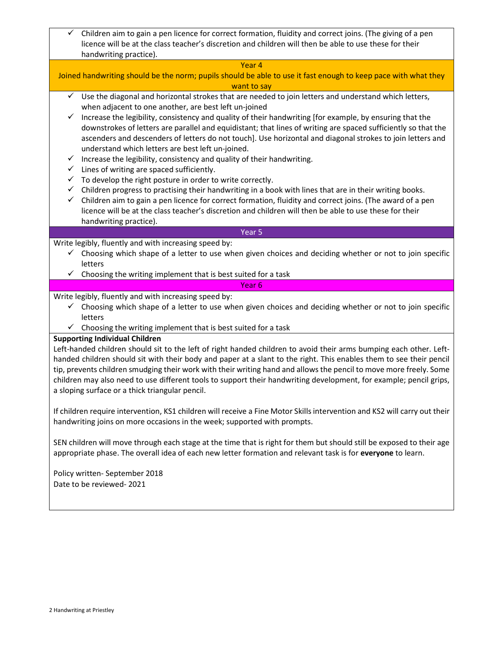Children aim to gain a pen licence for correct formation, fluidity and correct joins. (The giving of a pen licence will be at the class teacher's discretion and children will then be able to use these for their handwriting practice).

Year 4 Joined handwriting should be the norm; pupils should be able to use it fast enough to keep pace with what they want to say  $\checkmark$  Use the diagonal and horizontal strokes that are needed to join letters and understand which letters, when adjacent to one another, are best left un-joined  $\checkmark$  Increase the legibility, consistency and quality of their handwriting [for example, by ensuring that the downstrokes of letters are parallel and equidistant; that lines of writing are spaced sufficiently so that the ascenders and descenders of letters do not touch]. Use horizontal and diagonal strokes to join letters and understand which letters are best left un-joined.  $\checkmark$  Increase the legibility, consistency and quality of their handwriting.  $\checkmark$  Lines of writing are spaced sufficiently.  $\checkmark$  To develop the right posture in order to write correctly.  $\checkmark$  Children progress to practising their handwriting in a book with lines that are in their writing books.  $\checkmark$  Children aim to gain a pen licence for correct formation, fluidity and correct joins. (The award of a pen licence will be at the class teacher's discretion and children will then be able to use these for their handwriting practice). Year 5 Write legibly, fluently and with increasing speed by:  $\checkmark$  Choosing which shape of a letter to use when given choices and deciding whether or not to join specific letters  $\checkmark$  Choosing the writing implement that is best suited for a task Year 6 Write legibly, fluently and with increasing speed by:  $\checkmark$  Choosing which shape of a letter to use when given choices and deciding whether or not to join specific letters  $\checkmark$  Choosing the writing implement that is best suited for a task **Supporting Individual Children**  Left-handed children should sit to the left of right handed children to avoid their arms bumping each other. Lefthanded children should sit with their body and paper at a slant to the right. This enables them to see their pencil tip, prevents children smudging their work with their writing hand and allows the pencil to move more freely. Some children may also need to use different tools to support their handwriting development, for example; pencil grips, a sloping surface or a thick triangular pencil. If children require intervention, KS1 children will receive a Fine Motor Skills intervention and KS2 will carry out their handwriting joins on more occasions in the week; supported with prompts. SEN children will move through each stage at the time that is right for them but should still be exposed to their age appropriate phase. The overall idea of each new letter formation and relevant task is for **everyone** to learn. Policy written- September 2018 Date to be reviewed- 2021